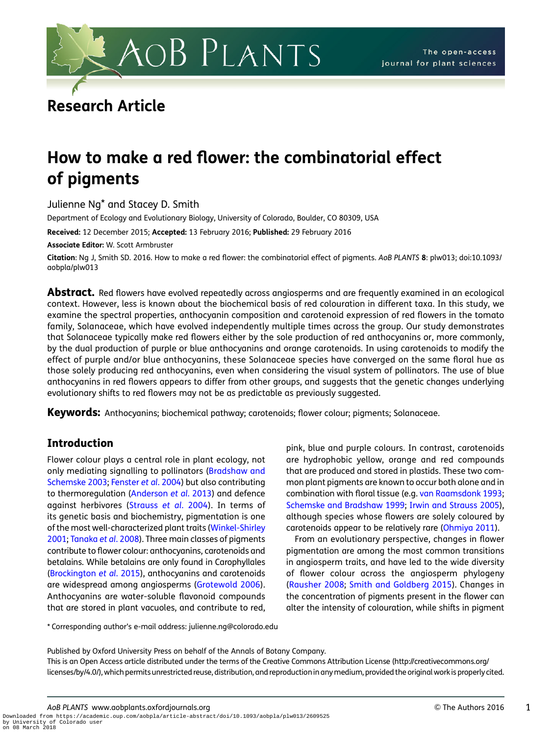

# Research Article

# How to make a red flower: the combinatorial effect of pigments

Julienne Ng\* and Stacey D. Smith

Department of Ecology and Evolutionary Biology, University of Colorado, Boulder, CO 80309, USA

Received: 12 December 2015; Accepted: 13 February 2016; Published: 29 February 2016

Associate Editor: W. Scott Armbruster

Citation: Ng J. Smith SD. 2016. How to make a red flower: the combinatorial effect of piaments. AoB PLANTS 8: plw013; doi:10.1093/ aobpla/plw013

**Abstract.** Red flowers have evolved repeatedly across angiosperms and are frequently examined in an ecological context. However, less is known about the biochemical basis of red colouration in different taxa. In this study, we examine the spectral properties, anthocyanin composition and carotenoid expression of red flowers in the tomato family, Solanaceae, which have evolved independently multiple times across the group. Our study demonstrates that Solanaceae typically make red flowers either by the sole production of red anthocyanins or, more commonly, by the dual production of purple or blue anthocyanins and orange carotenoids. In using carotenoids to modify the effect of purple and/or blue anthocyanins, these Solanaceae species have converged on the same floral hue as those solely producing red anthocyanins, even when considering the visual system of pollinators. The use of blue anthocyanins in red flowers appears to differ from other groups, and suggests that the genetic changes underlying evolutionary shifts to red flowers may not be as predictable as previously suggested.

Keywords: Anthocyanins; biochemical pathway; carotenoids; flower colour; pigments; Solanaceae.

# Introduction

Flower colour plays a central role in plant ecology, not only mediating signalling to pollinators (Bradshaw and Schemske 2003; Fenster et al. 2004) but also contributing to thermoregulation (Anderson et al. 2013) and defence against herbivores (Strauss et al. 2004). In terms of its genetic basis and biochemistry, pigmentation is one of the most well-characterized plant traits (Winkel-Shirley 2001; Tanaka et al. 2008). Three main classes of pigments contribute to flower colour: anthocyanins, carotenoids and betalains. While betalains are only found in Carophyllales (Brockington et al. 2015), anthocyanins and carotenoids are widespread among angiosperms (Grotewold 2006). Anthocyanins are water-soluble flavonoid compounds that are stored in plant vacuoles, and contribute to red, pink, blue and purple colours. In contrast, carotenoids are hydrophobic yellow, orange and red compounds that are produced and stored in plastids. These two common plant pigments are known to occur both alone and in combination with floral tissue (e.g. van Raamsdonk 1993; Schemske and Bradshaw 1999; Irwin and Strauss 2005), although species whose flowers are solely coloured by carotenoids appear to be relatively rare (Ohmiya 2011).

From an evolutionary perspective, changes in flower pigmentation are among the most common transitions in angiosperm traits, and have led to the wide diversity of flower colour across the angiosperm phylogeny (Rausher 2008; Smith and Goldberg 2015). Changes in the concentration of pigments present in the flower can alter the intensity of colouration, while shifts in pigment

\* Corresponding author's e-mail address: julienne.ng@colorado.edu

Published by Oxford University Press on behalf of the Annals of Botany Company.

This is an Open Access article distributed under the terms of the Creative Commons Attribution License ([http://creativecommons.org/](http://creativecommons.org/licenses/by/4.0/) [licenses/by/4.0/\)](http://creativecommons.org/licenses/by/4.0/), which permits unrestricted reuse, distribution, and reproduction in anymedium, provided the original work is properly cited.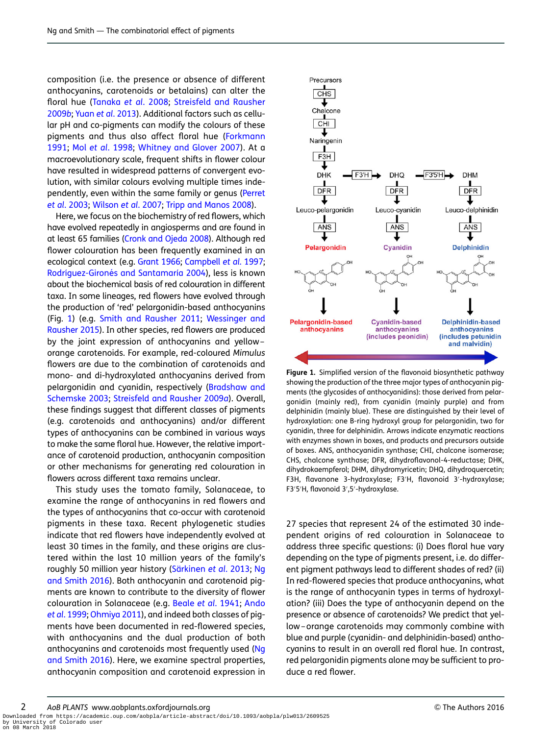composition (i.e. the presence or absence of different anthocyanins, carotenoids or betalains) can alter the floral hue (Tanaka et al. 2008; Streisfeld and Rausher 2009b; Yuan et al. 2013). Additional factors such as cellular pH and co-pigments can modify the colours of these pigments and thus also affect floral hue (Forkmann 1991; Mol et al. 1998; Whitney and Glover 2007). At a macroevolutionary scale, frequent shifts in flower colour have resulted in widespread patterns of convergent evolution, with similar colours evolving multiple times independently, even within the same family or genus (Perret et al. 2003; Wilson et al. 2007; Tripp and Manos 2008).

Here, we focus on the biochemistry of red flowers, which have evolved repeatedly in angiosperms and are found in at least 65 families (Cronk and Ojeda 2008). Although red flower colouration has been frequently examined in an ecological context (e.g. Grant 1966; Campbell et al. 1997; Rodríguez-Gironés and Santamaría 2004), less is known about the biochemical basis of red colouration in different taxa. In some lineages, red flowers have evolved through the production of 'red' pelargonidin-based anthocyanins (Fig. 1) (e.g. Smith and Rausher 2011; Wessinger and Rausher 2015). In other species, red flowers are produced by the joint expression of anthocyanins and yellow – orange carotenoids. For example, red-coloured Mimulus flowers are due to the combination of carotenoids and mono- and di-hydroxylated anthocyanins derived from pelargonidin and cyanidin, respectively (Bradshaw and Schemske 2003; Streisfeld and Rausher 2009a). Overall, these findings suggest that different classes of pigments (e.g. carotenoids and anthocyanins) and/or different types of anthocyanins can be combined in various ways to make the same floral hue. However, the relative importance of carotenoid production, anthocyanin composition or other mechanisms for generating red colouration in flowers across different taxa remains unclear.

This study uses the tomato family, Solanaceae, to examine the range of anthocyanins in red flowers and the types of anthocyanins that co-occur with carotenoid pigments in these taxa. Recent phylogenetic studies indicate that red flowers have independently evolved at least 30 times in the family, and these origins are clustered within the last 10 million years of the family's roughly 50 million year history (Särkinen et al. 2013; Ng and Smith 2016). Both anthocyanin and carotenoid pigments are known to contribute to the diversity of flower colouration in Solanaceae (e.g. Beale et al. 1941; Ando et al. 1999; Ohmiya 2011), and indeed both classes of pigments have been documented in red-flowered species, with anthocyanins and the dual production of both anthocyanins and carotenoids most frequently used (Ng and Smith 2016). Here, we examine spectral properties, anthocyanin composition and carotenoid expression in



Figure 1. Simplified version of the flavonoid biosynthetic pathway showing the production of the three major types of anthocyanin pigments (the glycosides of anthocyanidins): those derived from pelargonidin (mainly red), from cyanidin (mainly purple) and from delphinidin (mainly blue). These are distinguished by their level of hydroxylation: one B-ring hydroxyl group for pelargonidin, two for cyanidin, three for delphinidin. Arrows indicate enzymatic reactions with enzymes shown in boxes, and products and precursors outside of boxes. ANS, anthocyanidin synthase; CHI, chalcone isomerase; CHS, chalcone synthase; DFR, dihydroflavonol-4-reductase; DHK, dihydrokaempferol; DHM, dihydromyricetin; DHQ, dihydroquercetin; F3H, flavanone 3-hydroxylase; F3′ H, flavonoid 3′ -hydroxylase; F3′ 5′ H, flavonoid 3′ ,5′ -hydroxylase.

27 species that represent 24 of the estimated 30 independent origins of red colouration in Solanaceae to address three specific questions: (i) Does floral hue vary depending on the type of pigments present, i.e. do different pigment pathways lead to different shades of red? (ii) In red-flowered species that produce anthocyanins, what is the range of anthocyanin types in terms of hydroxylation? (iii) Does the type of anthocyanin depend on the presence or absence of carotenoids? We predict that yellow – orange carotenoids may commonly combine with blue and purple (cyanidin- and delphinidin-based) anthocyanins to result in an overall red floral hue. In contrast, red pelargonidin pigments alone may be sufficient to produce a red flower.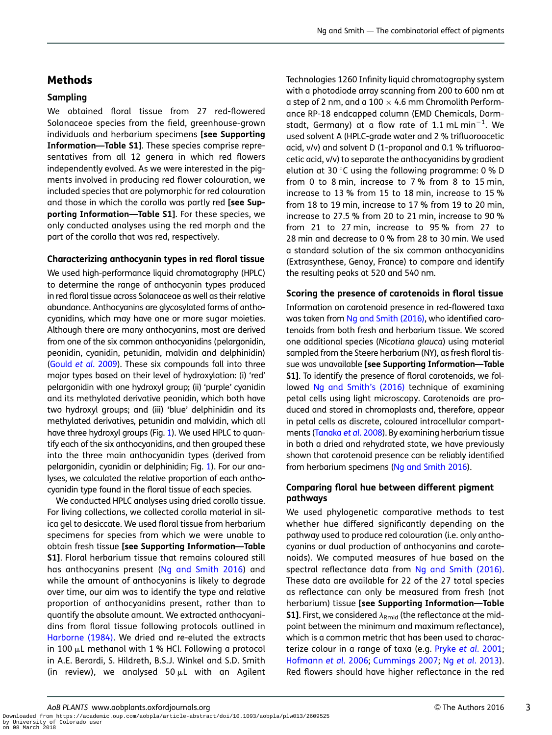# **Methods**

### Sampling

We obtained floral tissue from 27 red-flowered Solanaceae species from the field, greenhouse-grown individuals and herbarium specimens [see [Supporting](http://aobpla.oxfordjournals.org/lookup/suppl/doi:10.1093/aobpla/plw013/-/DC1) [Information—Table S1\]](http://aobpla.oxfordjournals.org/lookup/suppl/doi:10.1093/aobpla/plw013/-/DC1). These species comprise representatives from all 12 genera in which red flowers independently evolved. As we were interested in the pigments involved in producing red flower colouration, we included species that are polymorphic for red colouration and those in which the corolla was partly red [see [Sup](http://aobpla.oxfordjournals.org/lookup/suppl/doi:10.1093/aobpla/plw013/-/DC1)[porting Information—Table S1](http://aobpla.oxfordjournals.org/lookup/suppl/doi:10.1093/aobpla/plw013/-/DC1)]. For these species, we only conducted analyses using the red morph and the part of the corolla that was red, respectively.

### Characterizing anthocyanin types in red floral tissue

We used high-performance liquid chromatography (HPLC) to determine the range of anthocyanin types produced in red floral tissue across Solanaceae as well as their relative abundance. Anthocyanins are glycosylated forms of anthocyanidins, which may have one or more sugar moieties. Although there are many anthocyanins, most are derived from one of the six common anthocyanidins (pelargonidin, peonidin, cyanidin, petunidin, malvidin and delphinidin) (Gould et al. 2009). These six compounds fall into three major types based on their level of hydroxylation: (i) 'red' pelargonidin with one hydroxyl group; (ii) 'purple' cyanidin and its methylated derivative peonidin, which both have two hydroxyl groups; and (iii) 'blue' delphinidin and its methylated derivatives, petunidin and malvidin, which all have three hydroxyl groups (Fig. 1). We used HPLC to quantify each of the six anthocyanidins, and then grouped these into the three main anthocyanidin types (derived from pelargonidin, cyanidin or delphinidin; Fig. 1). For our analyses, we calculated the relative proportion of each anthocyanidin type found in the floral tissue of each species.

We conducted HPLC analyses using dried corolla tissue. For living collections, we collected corolla material in silica gel to desiccate. We used floral tissue from herbarium specimens for species from which we were unable to obtain fresh tissue [see [Supporting Information—Table](http://aobpla.oxfordjournals.org/lookup/suppl/doi:10.1093/aobpla/plw013/-/DC1) [S1\]](http://aobpla.oxfordjournals.org/lookup/suppl/doi:10.1093/aobpla/plw013/-/DC1). Floral herbarium tissue that remains coloured still has anthocyanins present (Ng and Smith 2016) and while the amount of anthocyanins is likely to degrade over time, our aim was to identify the type and relative proportion of anthocyanidins present, rather than to quantify the absolute amount. We extracted anthocyanidins from floral tissue following protocols outlined in Harborne (1984). We dried and re-eluted the extracts in 100  $\mu$ L methanol with 1 % HCl. Following a protocol in A.E. Berardi, S. Hildreth, B.S.J. Winkel and S.D. Smith (in review), we analysed 50  $\mu$ L with an Agilent Technologies 1260 Infinity liquid chromatography system with a photodiode array scanning from 200 to 600 nm at a step of 2 nm, and a 100  $\times$  4.6 mm Chromolith Performance RP-18 endcapped column (EMD Chemicals, Darmstadt, Germany) at a flow rate of 1.1 mL min $^{-1}\!.$  We used solvent A (HPLC-grade water and 2 % trifluoroacetic acid, v/v) and solvent D (1-propanol and 0.1 % trifluoroacetic acid, v/v) to separate the anthocyanidins by gradient elution at 30 $\degree$ C using the following programme: 0 % D from 0 to 8 min, increase to 7 % from 8 to 15 min, increase to 13 % from 15 to 18 min, increase to 15 % from 18 to 19 min, increase to 17 % from 19 to 20 min, increase to 27.5 % from 20 to 21 min, increase to 90 % from 21 to 27 min, increase to 95 % from 27 to 28 min and decrease to 0 % from 28 to 30 min. We used a standard solution of the six common anthocyanidins (Extrasynthese, Genay, France) to compare and identify the resulting peaks at 520 and 540 nm.

### Scoring the presence of carotenoids in floral tissue

Information on carotenoid presence in red-flowered taxa was taken from Ng and Smith (2016), who identified carotenoids from both fresh and herbarium tissue. We scored one additional species (Nicotiana glauca) using material sampled from the Steere herbarium (NY), as fresh floral tissue was unavailable [see [Supporting Information—Table](http://aobpla.oxfordjournals.org/lookup/suppl/doi:10.1093/aobpla/plw013/-/DC1) [S1](http://aobpla.oxfordjournals.org/lookup/suppl/doi:10.1093/aobpla/plw013/-/DC1)]. To identify the presence of floral carotenoids, we followed Ng and Smith's (2016) technique of examining petal cells using light microscopy. Carotenoids are produced and stored in chromoplasts and, therefore, appear in petal cells as discrete, coloured intracellular compartments (Tanaka et al. 2008). By examining herbarium tissue in both a dried and rehydrated state, we have previously shown that carotenoid presence can be reliably identified from herbarium specimens (Ng and Smith 2016).

### Comparing floral hue between different pigment pathways

We used phylogenetic comparative methods to test whether hue differed significantly depending on the pathway used to produce red colouration (i.e. only anthocyanins or dual production of anthocyanins and carotenoids). We computed measures of hue based on the spectral reflectance data from Ng and Smith (2016). These data are available for 22 of the 27 total species as reflectance can only be measured from fresh (not herbarium) tissue [see [Supporting Information—Table](http://aobpla.oxfordjournals.org/lookup/suppl/doi:10.1093/aobpla/plw013/-/DC1) **[S1](http://aobpla.oxfordjournals.org/lookup/suppl/doi:10.1093/aobpla/plw013/-/DC1)]**. First, we considered  $\lambda_{Rmid}$  (the reflectance at the midpoint between the minimum and maximum reflectance), which is a common metric that has been used to characterize colour in a range of taxa (e.g. Pryke et al. 2001; Hofmann et al. 2006; Cummings 2007; Ng et al. 2013). Red flowers should have higher reflectance in the red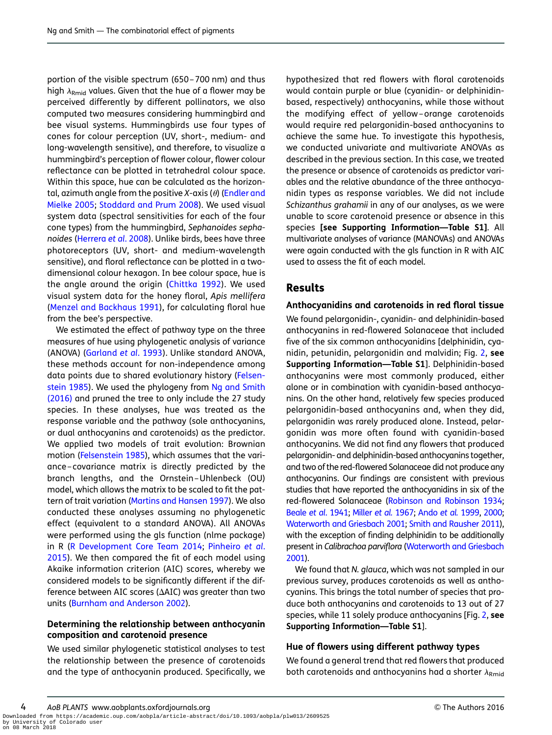portion of the visible spectrum (650 –700 nm) and thus high  $\lambda_{Rmid}$  values. Given that the hue of a flower may be perceived differently by different pollinators, we also computed two measures considering hummingbird and bee visual systems. Hummingbirds use four types of cones for colour perception (UV, short-, medium- and long-wavelength sensitive), and therefore, to visualize a hummingbird's perception of flower colour, flower colour reflectance can be plotted in tetrahedral colour space. Within this space, hue can be calculated as the horizontal, azimuth angle from the positive  $X$ -axis ( $\theta$ ) (Endler and Mielke 2005; Stoddard and Prum 2008). We used visual system data (spectral sensitivities for each of the four cone types) from the hummingbird, Sephanoides sephanoides (Herrera et al. 2008). Unlike birds, bees have three photoreceptors (UV, short- and medium-wavelength sensitive), and floral reflectance can be plotted in a twodimensional colour hexagon. In bee colour space, hue is the angle around the origin (Chittka 1992). We used visual system data for the honey floral, Apis mellifera (Menzel and Backhaus 1991), for calculating floral hue from the bee's perspective.

We estimated the effect of pathway type on the three measures of hue using phylogenetic analysis of variance (ANOVA) (Garland et al. 1993). Unlike standard ANOVA, these methods account for non-independence among data points due to shared evolutionary history (Felsenstein 1985). We used the phylogeny from Ng and Smith (2016) and pruned the tree to only include the 27 study species. In these analyses, hue was treated as the response variable and the pathway (sole anthocyanins, or dual anthocyanins and carotenoids) as the predictor. We applied two models of trait evolution: Brownian motion (Felsenstein 1985), which assumes that the variance –covariance matrix is directly predicted by the branch lengths, and the Ornstein –Uhlenbeck (OU) model, which allows the matrix to be scaled to fit the pattern of trait variation (Martins and Hansen 1997). We also conducted these analyses assuming no phylogenetic effect (equivalent to a standard ANOVA). All ANOVAs were performed using the gls function (nlme package) in R (R Development Core Team 2014; Pinheiro et al. 2015). We then compared the fit of each model using Akaike information criterion (AIC) scores, whereby we considered models to be significantly different if the difference between AIC scores ( $\Delta AIC$ ) was greater than two units (Burnham and Anderson 2002).

### Determining the relationship between anthocyanin composition and carotenoid presence

We used similar phylogenetic statistical analyses to test the relationship between the presence of carotenoids and the type of anthocyanin produced. Specifically, we

hypothesized that red flowers with floral carotenoids would contain purple or blue (cyanidin- or delphinidinbased, respectively) anthocyanins, while those without the modifying effect of yellow –orange carotenoids would require red pelargonidin-based anthocyanins to achieve the same hue. To investigate this hypothesis, we conducted univariate and multivariate ANOVAs as described in the previous section. In this case, we treated the presence or absence of carotenoids as predictor variables and the relative abundance of the three anthocyanidin types as response variables. We did not include Schizanthus grahamii in any of our analyses, as we were unable to score carotenoid presence or absence in this species [see [Supporting Information—Table S1\]](http://aobpla.oxfordjournals.org/lookup/suppl/doi:10.1093/aobpla/plw013/-/DC1). All multivariate analyses of variance (MANOVAs) and ANOVAs were again conducted with the gls function in R with AIC used to assess the fit of each model.

## Results

#### Anthocyanidins and carotenoids in red floral tissue

We found pelargonidin-, cyanidin- and delphinidin-based anthocyanins in red-flowered Solanaceae that included five of the six common anthocyanidins [delphinidin, cyanidin, petunidin, pelargonidin and malvidin; Fig. 2, see [Supporting Information—Table S1](http://aobpla.oxfordjournals.org/lookup/suppl/doi:10.1093/aobpla/plw013/-/DC1)]. Delphinidin-based anthocyanins were most commonly produced, either alone or in combination with cyanidin-based anthocyanins. On the other hand, relatively few species produced pelargonidin-based anthocyanins and, when they did, pelargonidin was rarely produced alone. Instead, pelargonidin was more often found with cyanidin-based anthocyanins. We did not find any flowers that produced pelargonidin- and delphinidin-based anthocyanins together, and two of the red-flowered Solanaceae did not produce any anthocyanins. Our findings are consistent with previous studies that have reported the anthocyanidins in six of the red-flowered Solanaceae (Robinson and Robinson 1934; Beale et al. 1941; Miller et al. 1967; Ando et al. 1999, 2000; Waterworth and Griesbach 2001; Smith and Rausher 2011), with the exception of finding delphinidin to be additionally present in Calibrachoa parviflora (Waterworth and Griesbach 2001).

We found that N. glauca, which was not sampled in our previous survey, produces carotenoids as well as anthocyanins. This brings the total number of species that produce both anthocyanins and carotenoids to 13 out of 27 species, while 11 solely produce anthocyanins [Fig. 2, see [Supporting Information—Table S1](http://aobpla.oxfordjournals.org/lookup/suppl/doi:10.1093/aobpla/plw013/-/DC1)].

#### Hue of flowers using different pathway types

We found a general trend that red flowers that produced both carotenoids and anthocyanins had a shorter  $\lambda_{Rmid}$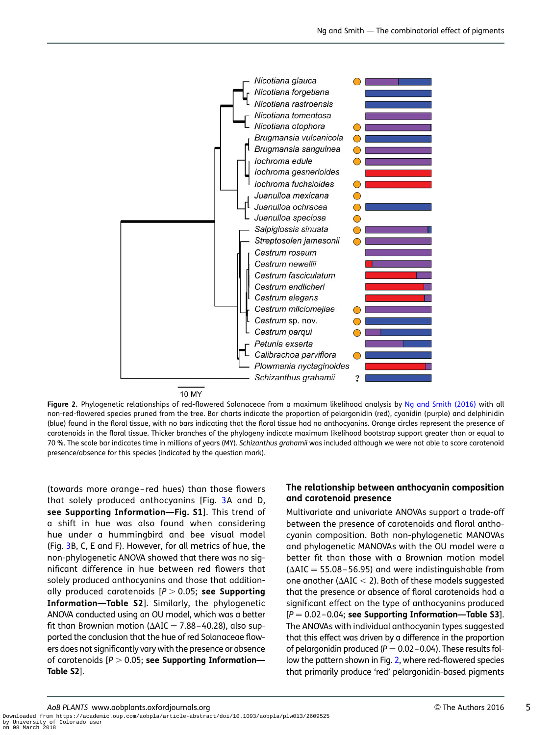

Figure 2. Phylogenetic relationships of red-flowered Solanaceae from a maximum likelihood analysis by Ng and Smith (2016) with all non-red-flowered species pruned from the tree. Bar charts indicate the proportion of pelargonidin (red), cyanidin (purple) and delphinidin (blue) found in the floral tissue, with no bars indicating that the floral tissue had no anthocyanins. Orange circles represent the presence of carotenoids in the floral tissue. Thicker branches of the phylogeny indicate maximum likelihood bootstrap support greater than or equal to 70 %. The scale bar indicates time in millions of years (MY). Schizanthus grahamii was included although we were not able to score carotenoid presence/absence for this species (indicated by the question mark).

(towards more orange – red hues) than those flowers that solely produced anthocyanins [Fig. 3A and D, see [Supporting Information—Fig. S1](http://aobpla.oxfordjournals.org/lookup/suppl/doi:10.1093/aobpla/plw013/-/DC1)]. This trend of a shift in hue was also found when considering hue under a hummingbird and bee visual model (Fig. 3B, C, E and F). However, for all metrics of hue, the non-phylogenetic ANOVA showed that there was no significant difference in hue between red flowers that solely produced anthocyanins and those that additionally produced carotenoids  $[P > 0.05;$  see [Supporting](http://aobpla.oxfordjournals.org/lookup/suppl/doi:10.1093/aobpla/plw013/-/DC1) [Information—Table S2](http://aobpla.oxfordjournals.org/lookup/suppl/doi:10.1093/aobpla/plw013/-/DC1)]. Similarly, the phylogenetic ANOVA conducted using an OU model, which was a better fit than Brownian motion ( $\Delta AIC = 7.88 - 40.28$ ), also supported the conclusion that the hue of red Solanaceae flowers does not significantly vary with the presence or absence of carotenoids  $[P > 0.05;$  see [Supporting Information—](http://aobpla.oxfordjournals.org/lookup/suppl/doi:10.1093/aobpla/plw013/-/DC1) [Table S2](http://aobpla.oxfordjournals.org/lookup/suppl/doi:10.1093/aobpla/plw013/-/DC1)].

#### The relationship between anthocyanin composition and carotenoid presence

Multivariate and univariate ANOVAs support a trade-off between the presence of carotenoids and floral anthocyanin composition. Both non-phylogenetic MANOVAs and phylogenetic MANOVAs with the OU model were a better fit than those with a Brownian motion model  $(\Delta AIC = 55.08 - 56.95)$  and were indistinguishable from one another ( $\Delta AIC < 2$ ). Both of these models suggested that the presence or absence of floral carotenoids had a significant effect on the type of anthocyanins produced  $[P = 0.02 - 0.04;$  see [Supporting Information—Table S3](http://aobpla.oxfordjournals.org/lookup/suppl/doi:10.1093/aobpla/plw013/-/DC1)]. The ANOVAs with individual anthocyanin types suggested that this effect was driven by a difference in the proportion of pelargonidin produced ( $P = 0.02 - 0.04$ ). These results follow the pattern shown in Fig. 2, where red-flowered species that primarily produce 'red' pelargonidin-based pigments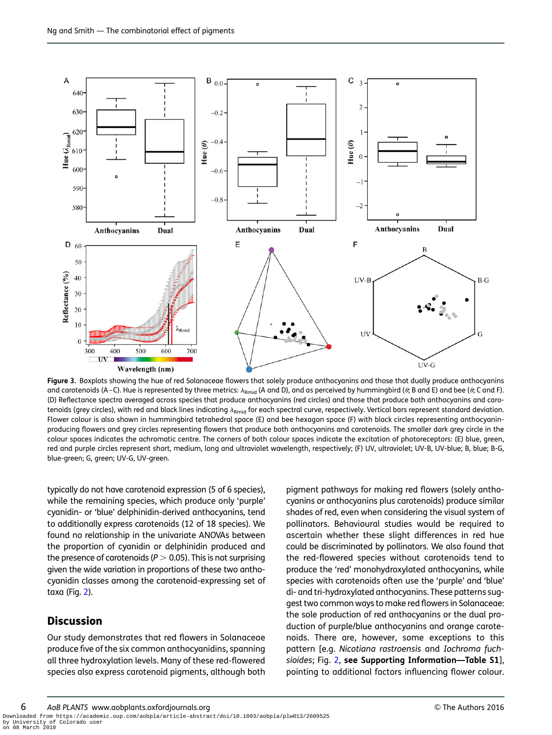

Figure 3. Boxplots showing the hue of red Solanaceae flowers that solely produce anthocyanins and those that dually produce anthocyanins and carotenoids (A-C). Hue is represented by three metrics:  $\lambda_{\text{Rmid}}$  (A and D), and as perceived by hummingbird ( $\theta$ ; B and E) and bee ( $\theta$ ; C and F). (D) Reflectance spectra averaged across species that produce anthocyanins (red circles) and those that produce both anthocyanins and carotenoids (grey circles), with red and black lines indicating  $\lambda_{Rmid}$  for each spectral curve, respectively. Vertical bars represent standard deviation. Flower colour is also shown in hummingbird tetrahedral space (E) and bee hexagon space (F) with black circles representing anthocyaninproducing flowers and grey circles representing flowers that produce both anthocyanins and carotenoids. The smaller dark grey circle in the colour spaces indicates the achromatic centre. The corners of both colour spaces indicate the excitation of photoreceptors: (E) blue, green, red and purple circles represent short, medium, long and ultraviolet wavelength, respectively; (F) UV, ultraviolet; UV-B, UV-blue; B, blue; B-G, blue-green; G, green; UV-G, UV-green.

typically do not have carotenoid expression (5 of 6 species), while the remaining species, which produce only 'purple' cyanidin- or 'blue' delphinidin-derived anthocyanins, tend to additionally express carotenoids (12 of 18 species). We found no relationship in the univariate ANOVAs between the proportion of cyanidin or delphinidin produced and the presence of carotenoids ( $P > 0.05$ ). This is not surprising given the wide variation in proportions of these two anthocyanidin classes among the carotenoid-expressing set of taxa (Fig. 2).

## **Discussion**

Our study demonstrates that red flowers in Solanaceae produce five of the six common anthocyanidins, spanning all three hydroxylation levels. Many of these red-flowered species also express carotenoid pigments, although both

pigment pathways for making red flowers (solely anthocyanins or anthocyanins plus carotenoids) produce similar shades of red, even when considering the visual system of pollinators. Behavioural studies would be required to ascertain whether these slight differences in red hue could be discriminated by pollinators. We also found that the red-flowered species without carotenoids tend to produce the 'red' monohydroxylated anthocyanins, while species with carotenoids often use the 'purple' and 'blue' di- and tri-hydroxylated anthocyanins. These patterns suggest two common ways to make red flowers in Solanaceae: the sole production of red anthocyanins or the dual production of purple/blue anthocyanins and orange carotenoids. There are, however, some exceptions to this pattern [e.g. Nicotiana rastroensis and Iochroma fuchsioides; Fig. 2, see [Supporting Information—Table S1](http://aobpla.oxfordjournals.org/lookup/suppl/doi:10.1093/aobpla/plw013/-/DC1)], pointing to additional factors influencing flower colour.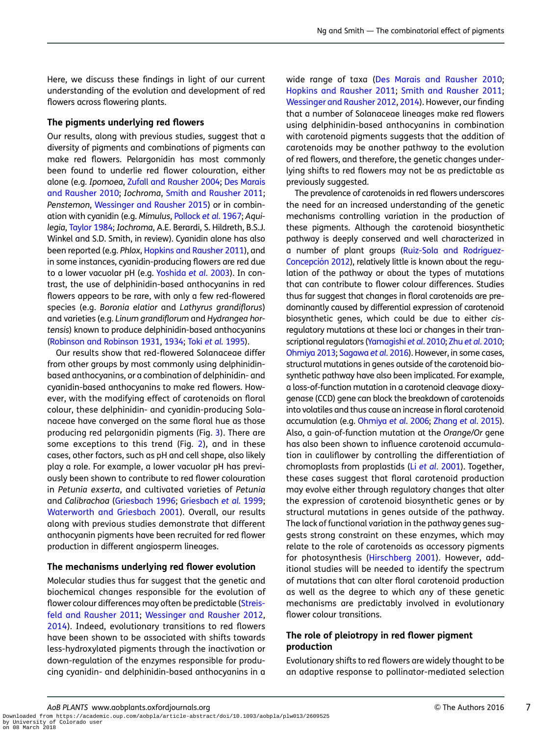Here, we discuss these findings in light of our current understanding of the evolution and development of red flowers across flowering plants.

#### The pigments underlying red flowers

Our results, along with previous studies, suggest that a diversity of pigments and combinations of pigments can make red flowers. Pelargonidin has most commonly been found to underlie red flower colouration, either alone (e.g. Ipomoea, Zufall and Rausher 2004; Des Marais and Rausher 2010; Iochroma, Smith and Rausher 2011; Penstemon, Wessinger and Rausher 2015) or in combination with cyanidin (e.g. Mimulus, Pollock et al. 1967; Aquilegia, Taylor 1984; Iochroma, A.E. Berardi, S. Hildreth, B.S.J. Winkel and S.D. Smith, in review). Cyanidin alone has also been reported (e.g. Phlox, Hopkins and Rausher 2011), and in some instances, cyanidin-producing flowers are red due to a lower vacuolar pH (e.g. Yoshida et al. 2003). In contrast, the use of delphinidin-based anthocyanins in red flowers appears to be rare, with only a few red-flowered species (e.g. Boronia elatior and Lathyrus grandiflorus) and varieties (e.g. Linum grandiflorum and Hydrangea hortensis) known to produce delphinidin-based anthocyanins (Robinson and Robinson 1931, 1934; Toki et al. 1995).

Our results show that red-flowered Solanaceae differ from other groups by most commonly using delphinidinbased anthocyanins, or a combination of delphinidin- and cyanidin-based anthocyanins to make red flowers. However, with the modifying effect of carotenoids on floral colour, these delphinidin- and cyanidin-producing Solanaceae have converged on the same floral hue as those producing red pelargonidin pigments (Fig. 3). There are some exceptions to this trend (Fig. 2), and in these cases, other factors, such as pH and cell shape, also likely play a role. For example, a lower vacuolar pH has previously been shown to contribute to red flower colouration in Petunia exserta, and cultivated varieties of Petunia and Calibrachoa (Griesbach 1996; Griesbach et al. 1999; Waterworth and Griesbach 2001). Overall, our results along with previous studies demonstrate that different anthocyanin pigments have been recruited for red flower production in different angiosperm lineages.

#### The mechanisms underlying red flower evolution

Molecular studies thus far suggest that the genetic and biochemical changes responsible for the evolution of flower colour differences may often be predictable (Streisfeld and Rausher 2011; Wessinger and Rausher 2012, 2014). Indeed, evolutionary transitions to red flowers have been shown to be associated with shifts towards less-hydroxylated pigments through the inactivation or down-regulation of the enzymes responsible for producing cyanidin- and delphinidin-based anthocyanins in a

wide range of taxa (Des Marais and Rausher 2010; Hopkins and Rausher 2011; Smith and Rausher 2011; Wessinger and Rausher 2012, 2014). However, our finding that a number of Solanaceae lineages make red flowers using delphinidin-based anthocyanins in combination with carotenoid pigments suggests that the addition of carotenoids may be another pathway to the evolution of red flowers, and therefore, the genetic changes underlying shifts to red flowers may not be as predictable as previously suggested.

The prevalence of carotenoids in red flowers underscores the need for an increased understanding of the genetic mechanisms controlling variation in the production of these pigments. Although the carotenoid biosynthetic pathway is deeply conserved and well characterized in a number of plant groups (Ruiz-Sola and Rodríguez-Concepción 2012), relatively little is known about the regulation of the pathway or about the types of mutations that can contribute to flower colour differences. Studies thus far suggest that changes in floral carotenoids are predominantly caused by differential expression of carotenoid biosynthetic genes, which could be due to either cisregulatory mutations at these loci or changes in their transcriptional regulators (Yamagishi et al. 2010; Zhu et al. 2010; Ohmiya 2013; Sagawa et al. 2016). However, in some cases, structural mutations in genes outside of the carotenoid biosynthetic pathway have also been implicated. For example, a loss-of-function mutation in a carotenoid cleavage dioxygenase (CCD) gene can block the breakdown of carotenoids into volatiles and thus cause an increase in floral carotenoid accumulation (e.g. Ohmiya et al. 2006; Zhang et al. 2015). Also, a gain-of-function mutation at the Orange/Or gene has also been shown to influence carotenoid accumulation in cauliflower by controlling the differentiation of chromoplasts from proplastids (Li et al. 2001). Together, these cases suggest that floral carotenoid production may evolve either through regulatory changes that alter the expression of carotenoid biosynthetic genes or by structural mutations in genes outside of the pathway. The lack of functional variation in the pathway genes suggests strong constraint on these enzymes, which may relate to the role of carotenoids as accessory pigments for photosynthesis (Hirschberg 2001). However, additional studies will be needed to identify the spectrum of mutations that can alter floral carotenoid production as well as the degree to which any of these genetic mechanisms are predictably involved in evolutionary flower colour transitions.

## The role of pleiotropy in red flower pigment production

Evolutionary shifts to red flowers are widely thought to be an adaptive response to pollinator-mediated selection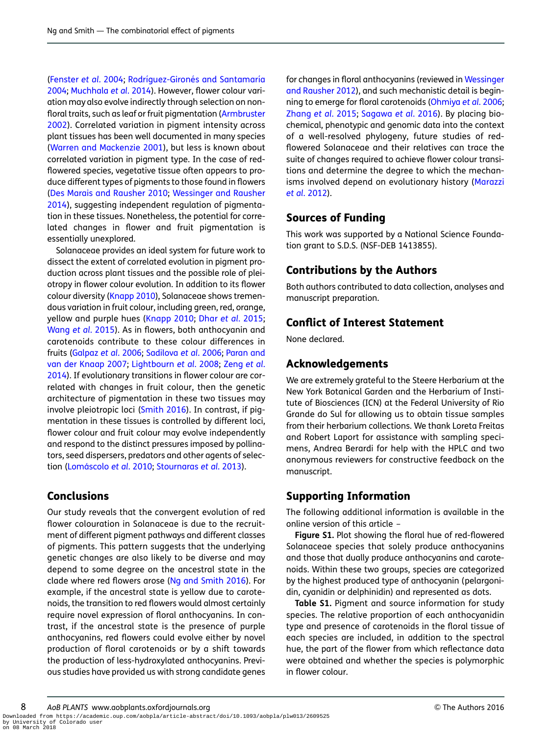(Fenster et al. 2004; Rodríquez-Gironés and Santamaría 2004; Muchhala et al. 2014). However, flower colour variation may also evolve indirectly through selection on nonfloral traits, such as leaf or fruit pigmentation (Armbruster 2002). Correlated variation in pigment intensity across plant tissues has been well documented in many species (Warren and Mackenzie 2001), but less is known about correlated variation in pigment type. In the case of redflowered species, vegetative tissue often appears to produce different types of pigments to those found in flowers (Des Marais and Rausher 2010; Wessinger and Rausher 2014), suggesting independent regulation of pigmentation in these tissues. Nonetheless, the potential for correlated changes in flower and fruit pigmentation is essentially unexplored.

Solanaceae provides an ideal system for future work to dissect the extent of correlated evolution in pigment production across plant tissues and the possible role of pleiotropy in flower colour evolution. In addition to its flower colour diversity (Knapp 2010), Solanaceae shows tremendous variation in fruit colour, including green, red, orange, yellow and purple hues (Knapp 2010; Dhar et al. 2015; Wang et al. 2015). As in flowers, both anthocyanin and carotenoids contribute to these colour differences in fruits (Galpaz et al. 2006; Sadilova et al. 2006; Paran and van der Knaap 2007; Lightbourn et al. 2008; Zeng et al. 2014). If evolutionary transitions in flower colour are correlated with changes in fruit colour, then the genetic architecture of pigmentation in these two tissues may involve pleiotropic loci (Smith 2016). In contrast, if pigmentation in these tissues is controlled by different loci, flower colour and fruit colour may evolve independently and respond to the distinct pressures imposed by pollinators, seed dispersers, predators and other agents of selection (Lomáscolo et al. 2010; Stournaras et al. 2013).

## **Conclusions**

Our study reveals that the convergent evolution of red flower colouration in Solanaceae is due to the recruitment of different pigment pathways and different classes of pigments. This pattern suggests that the underlying genetic changes are also likely to be diverse and may depend to some degree on the ancestral state in the clade where red flowers arose (Ng and Smith 2016). For example, if the ancestral state is yellow due to carotenoids, the transition to red flowers would almost certainly require novel expression of floral anthocyanins. In contrast, if the ancestral state is the presence of purple anthocyanins, red flowers could evolve either by novel production of floral carotenoids or by a shift towards the production of less-hydroxylated anthocyanins. Previous studies have provided us with strong candidate genes

for changes in floral anthocyanins (reviewed in Wessinger and Rausher 2012), and such mechanistic detail is beginning to emerge for floral carotenoids (Ohmiya et al. 2006; Zhang et al. 2015; Sagawa et al. 2016). By placing biochemical, phenotypic and genomic data into the context of a well-resolved phylogeny, future studies of redflowered Solanaceae and their relatives can trace the suite of changes required to achieve flower colour transitions and determine the degree to which the mechanisms involved depend on evolutionary history (Marazzi et al. 2012).

## Sources of Funding

This work was supported by a National Science Foundation grant to S.D.S. (NSF-DEB 1413855).

## Contributions by the Authors

Both authors contributed to data collection, analyses and manuscript preparation.

## Conflict of Interest Statement

None declared.

## Acknowledgements

We are extremely grateful to the Steere Herbarium at the New York Botanical Garden and the Herbarium of Institute of Biosciences (ICN) at the Federal University of Rio Grande do Sul for allowing us to obtain tissue samples from their herbarium collections. We thank Loreta Freitas and Robert Laport for assistance with sampling specimens, Andrea Berardi for help with the HPLC and two anonymous reviewers for constructive feedback on the manuscript.

## Supporting Information

The following additional information is available in the online version of this article –

Figure S1. Plot showing the floral hue of red-flowered Solanaceae species that solely produce anthocyanins and those that dually produce anthocyanins and carotenoids. Within these two groups, species are categorized by the highest produced type of anthocyanin (pelargonidin, cyanidin or delphinidin) and represented as dots.

Table S1. Pigment and source information for study species. The relative proportion of each anthocyanidin type and presence of carotenoids in the floral tissue of each species are included, in addition to the spectral hue, the part of the flower from which reflectance data were obtained and whether the species is polymorphic in flower colour.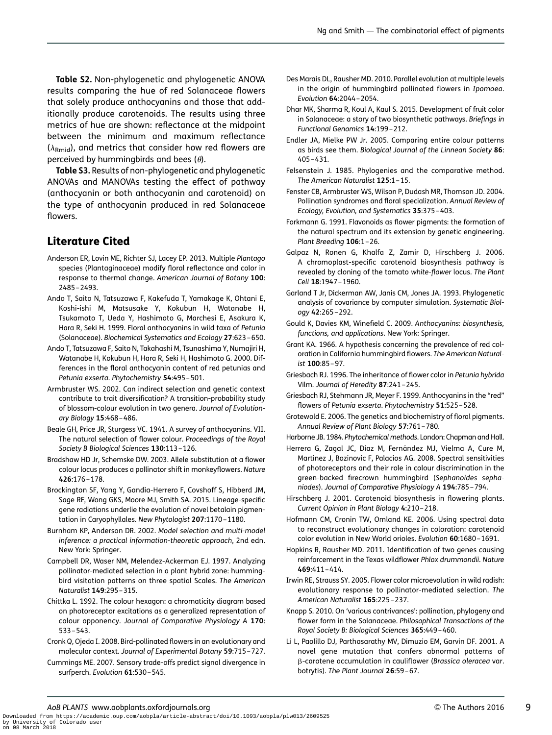Table S2. Non-phylogenetic and phylogenetic ANOVA results comparing the hue of red Solanaceae flowers that solely produce anthocyanins and those that additionally produce carotenoids. The results using three metrics of hue are shown: reflectance at the midpoint between the minimum and maximum reflectance  $(\lambda_{Rmid})$ , and metrics that consider how red flowers are perceived by hummingbirds and bees  $(\theta)$ .

Table S3. Results of non-phylogenetic and phylogenetic ANOVAs and MANOVAs testing the effect of pathway (anthocyanin or both anthocyanin and carotenoid) on the type of anthocyanin produced in red Solanaceae flowers.

# Literature Cited

- Anderson ER, Lovin ME, Richter SJ, Lacey EP. 2013. Multiple Plantago species (Plantaginaceae) modify floral reflectance and color in response to thermal change. American Journal of Botany 100: 2485 –2493.
- Ando T, Saito N, Tatsuzawa F, Kakefuda T, Yamakage K, Ohtani E, Koshi-ishi M, Matsusake Y, Kokubun H, Watanabe H, Tsukamoto T, Ueda Y, Hashimoto G, Marchesi E, Asakura K, Hara R, Seki H. 1999. Floral anthocyanins in wild taxa of Petunia (Solanaceae). Biochemical Systematics and Ecology 27:623 –650.
- Ando T, Tatsuzawa F, Saito N, Takahashi M, Tsunashima Y, Numajiri H, Watanabe H, Kokubun H, Hara R, Seki H, Hashimoto G. 2000. Differences in the floral anthocyanin content of red petunias and Petunia exserta. Phytochemistry 54:495-501.
- Armbruster WS. 2002. Can indirect selection and genetic context contribute to trait diversification? A transition-probability study of blossom-colour evolution in two genera. Journal of Evolutionary Biology 15:468 –486.
- Beale GH, Price JR, Sturgess VC. 1941. A survey of anthocyanins. VII. The natural selection of flower colour. Proceedings of the Royal Society B Biological Sciences 130:113-126.
- Bradshaw HD Jr, Schemske DW. 2003. Allele substitution at a flower colour locus produces a pollinator shift in monkeyflowers. Nature 426:176 –178.
- Brockington SF, Yang Y, Gandia-Herrero F, Covshoff S, Hibberd JM, Sage RF, Wong GKS, Moore MJ, Smith SA. 2015. Lineage-specific gene radiations underlie the evolution of novel betalain pigmentation in Caryophyllales. New Phytologist 207:1170-1180.
- Burnham KP, Anderson DR. 2002. Model selection and multi-model inference: a practical information-theoretic approach, 2nd edn. New York: Springer.
- Campbell DR, Waser NM, Melendez-Ackerman EJ. 1997. Analyzing pollinator-mediated selection in a plant hybrid zone: hummingbird visitation patterns on three spatial Scales. The American Naturalist 149:295 –315.
- Chittka L. 1992. The colour hexagon: a chromaticity diagram based on photoreceptor excitations as a generalized representation of colour opponency. Journal of Comparative Physiology A 170: 533 –543.
- Cronk Q, Ojeda I. 2008. Bird-pollinated flowers in an evolutionary and molecular context. Journal of Experimental Botany 59:715 –727.
- Cummings ME. 2007. Sensory trade-offs predict signal divergence in surfperch. Evolution 61:530-545.
- Des Marais DL, Rausher MD. 2010. Parallel evolution at multiple levels in the origin of hummingbird pollinated flowers in Ipomoea. Evolution 64:2044 –2054.
- Dhar MK, Sharma R, Koul A, Kaul S. 2015. Development of fruit color in Solanaceae: a story of two biosynthetic pathways. Briefings in Functional Genomics 14:199 –212.
- Endler JA, Mielke PW Jr. 2005. Comparing entire colour patterns as birds see them. Biological Journal of the Linnean Society 86: 405 –431.
- Felsenstein J. 1985. Phylogenies and the comparative method. The American Naturalist 125:1 –15.
- Fenster CB, Armbruster WS, Wilson P, Dudash MR, Thomson JD. 2004. Pollination syndromes and floral specialization. Annual Review of Ecology, Evolution, and Systematics 35:375 –403.
- Forkmann G. 1991. Flavonoids as flower pigments: the formation of the natural spectrum and its extension by genetic engineering. Plant Breeding 106:1-26.
- Galpaz N, Ronen G, Khalfa Z, Zamir D, Hirschberg J. 2006. A chromoplast-specific carotenoid biosynthesis pathway is revealed by cloning of the tomato white-flower locus. The Plant Cell 18:1947 –1960.
- Garland T Jr, Dickerman AW, Janis CM, Jones JA. 1993. Phylogenetic analysis of covariance by computer simulation. Systematic Biology 42:265 –292.
- Gould K, Davies KM, Winefield C. 2009. Anthocyanins: biosynthesis, functions, and applications. New York: Springer.
- Grant KA. 1966. A hypothesis concerning the prevalence of red coloration in California hummingbird flowers. The American Naturalist 100:85–97.
- Griesbach RJ. 1996. The inheritance of flower color in Petunia hybrida Vilm. Journal of Heredity 87:241 –245.
- Griesbach RJ, Stehmann JR, Meyer F. 1999. Anthocyanins in the "red" flowers of Petunia exserta. Phytochemistry 51:525 –528.
- Grotewold E. 2006. The genetics and biochemistry of floral pigments. Annual Review of Plant Biology 57:761 –780.
- Harborne JB. 1984. Phytochemical methods. London: Chapman and Hall.
- Herrera G, Zagal JC, Diaz M, Fernández MJ, Vielma A, Cure M, Martinez J, Bozinovic F, Palacios AG. 2008. Spectral sensitivities of photoreceptors and their role in colour discrimination in the green-backed firecrown hummingbird (Sephanoides sephaniodes). Journal of Comparative Physiology A 194:785 –794.
- Hirschberg J. 2001. Carotenoid biosynthesis in flowering plants. Current Opinion in Plant Biology 4:210 –218.
- Hofmann CM, Cronin TW, Omland KE. 2006. Using spectral data to reconstruct evolutionary changes in coloration: carotenoid color evolution in New World orioles. Evolution 60:1680 –1691.
- Hopkins R, Rausher MD. 2011. Identification of two genes causing reinforcement in the Texas wildflower Phlox drummondii. Nature 469:411 –414.
- Irwin RE, Strauss SY. 2005. Flower color microevolution in wild radish: evolutionary response to pollinator-mediated selection. The American Naturalist 165:225 –237.
- Knapp S. 2010. On 'various contrivances': pollination, phylogeny and flower form in the Solanaceae. Philosophical Transactions of the Royal Society B: Biological Sciences 365:449 –460.
- Li L, Paolillo DJ, Parthasarathy MV, Dimuzio EM, Garvin DF. 2001. A novel gene mutation that confers abnormal patterns of b-carotene accumulation in cauliflower (Brassica oleracea var. botrytis). The Plant Journal 26:59–67.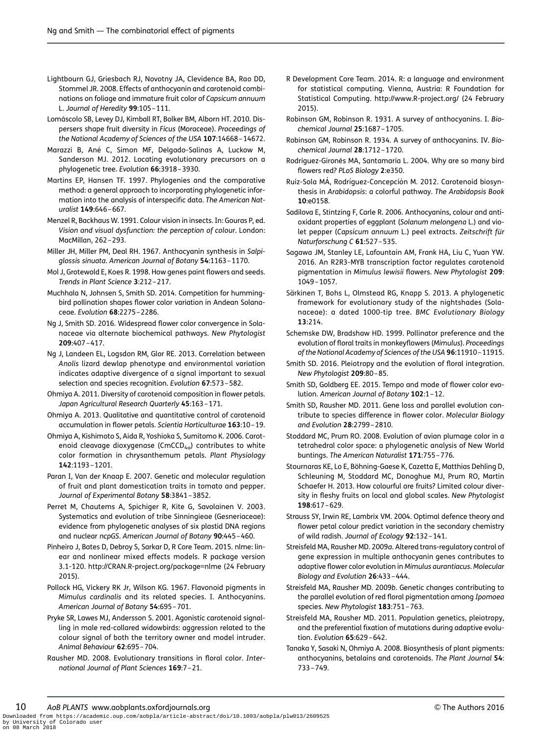- Lightbourn GJ, Griesbach RJ, Novotny JA, Clevidence BA, Rao DD, Stommel JR. 2008. Effects of anthocyanin and carotenoid combinations on foliage and immature fruit color of Capsicum annuum L. Journal of Heredity 99:105-111.
- Lomáscolo SB, Levey DJ, Kimball RT, Bolker BM, Alborn HT. 2010. Dispersers shape fruit diversity in Ficus (Moraceae). Proceedings of the National Academy of Sciences of the USA 107:14668-14672.
- Marazzi B, Ané C, Simon MF, Delgado-Salinas A, Luckow M, Sanderson MJ. 2012. Locating evolutionary precursors on a phylogenetic tree. Evolution 66:3918 –3930.
- Martins EP, Hansen TF. 1997. Phylogenies and the comparative method: a general approach to incorporating phylogenetic information into the analysis of interspecific data. The American Naturalist 149:646 –667.
- Menzel R, Backhaus W. 1991. Colour vision in insects. In: Gouras P, ed. Vision and visual dysfunction: the perception of colour. London: MacMillan, 262 –293.
- Miller JH, Miller PM, Deal RH. 1967. Anthocyanin synthesis in Salpiglossis sinuata. American Journal of Botany 54:1163 –1170.
- Mol J, Grotewold E, Koes R. 1998. How genes paint flowers and seeds. Trends in Plant Science 3:212 –217.
- Muchhala N, Johnsen S, Smith SD. 2014. Competition for hummingbird pollination shapes flower color variation in Andean Solanaceae. Evolution 68:2275 –2286.
- Ng J, Smith SD. 2016. Widespread flower color convergence in Solanaceae via alternate biochemical pathways. New Phytologist 209:407 –417.
- Ng J, Landeen EL, Logsdon RM, Glor RE. 2013. Correlation between Anolis lizard dewlap phenotype and environmental variation indicates adaptive divergence of a signal important to sexual selection and species recognition. Evolution 67:573 –582.
- Ohmiya A. 2011. Diversity of carotenoid composition in flower petals. Japan Agricultural Research Quarterly 45:163-171.
- Ohmiya A. 2013. Qualitative and quantitative control of carotenoid accumulation in flower petals. Scientia Horticulturae 163:10–19.
- Ohmiya A, Kishimoto S, Aida R, Yoshioka S, Sumitomo K. 2006. Carotenoid cleavage dioxygenase (CmCCD<sub>4a</sub>) contributes to white color formation in chrysanthemum petals. Plant Physiology 142:1193 –1201.
- Paran I, Van der Knaap E. 2007. Genetic and molecular regulation of fruit and plant domestication traits in tomato and pepper. Journal of Experimental Botany 58:3841 –3852.
- Perret M, Chautems A, Spichiger R, Kite G, Savolainen V. 2003. Systematics and evolution of tribe Sinningieae (Gesneriaceae): evidence from phylogenetic analyses of six plastid DNA regions and nuclear ncpGS. American Journal of Botany 90:445 –460.
- Pinheiro J, Bates D, Debroy S, Sarkar D, R Core Team. 2015. nlme: linear and nonlinear mixed effects models. R package version 3.1-120.<http://CRAN.R-project.org/package=nlme> (24 February 2015).
- Pollock HG, Vickery RK Jr, Wilson KG. 1967. Flavonoid pigments in Mimulus cardinalis and its related species. I. Anthocyanins. American Journal of Botany 54:695 –701.
- Pryke SR, Lawes MJ, Andersson S. 2001. Agonistic carotenoid signalling in male red-collared widowbirds: aggression related to the colour signal of both the territory owner and model intruder. Animal Behaviour 62:695 –704.
- Rausher MD. 2008. Evolutionary transitions in floral color. International Journal of Plant Sciences 169:7 –21.
- R Development Core Team. 2014. R: a language and environment for statistical computing. Vienna, Austria: R Foundation for Statistical Computing.<http://www.R-project.org/> (24 February 2015).
- Robinson GM, Robinson R. 1931. A survey of anthocyanins. I. Biochemical Journal 25:1687 –1705.
- Robinson GM, Robinson R. 1934. A survey of anthocyanins. IV. Biochemical Journal 28:1712 –1720.
- Rodríguez-Gironés MA, Santamaría L. 2004. Why are so many bird flowers red? PLoS Biology 2:e350.
- Ruiz-Sola MÁ, Rodríguez-Concepción M. 2012. Carotenoid biosynthesis in Arabidopsis: a colorful pathway. The Arabidopsis Book 10:e0158.
- Sadilova E, Stintzing F, Carle R. 2006. Anthocyanins, colour and antioxidant properties of eggplant (Solanum melongena L.) and violet pepper (Capsicum annuum L.) peel extracts. Zeitschrift für Naturforschung C 61:527 –535.
- Sagawa JM, Stanley LE, Lafountain AM, Frank HA, Liu C, Yuan YW. 2016. An R2R3-MYB transcription factor regulates carotenoid pigmentation in Mimulus lewisii flowers. New Phytologist 209: 1049 –1057.
- Särkinen T, Bohs L, Olmstead RG, Knapp S. 2013. A phylogenetic framework for evolutionary study of the nightshades (Solanaceae): a dated 1000-tip tree. BMC Evolutionary Biology 13:214.
- Schemske DW, Bradshaw HD. 1999. Pollinator preference and the evolution of floral traits in monkeyflowers (Mimulus). Proceedings of the National Academy of Sciences of the USA 96:11910 –11915.
- Smith SD. 2016. Pleiotropy and the evolution of floral integration. New Phytologist 209:80–85.
- Smith SD, Goldberg EE. 2015. Tempo and mode of flower color evolution. American Journal of Botany 102:1-12.
- Smith SD, Rausher MD. 2011. Gene loss and parallel evolution contribute to species difference in flower color. Molecular Biology and Evolution 28:2799 –2810.
- Stoddard MC, Prum RO. 2008. Evolution of avian plumage color in a tetrahedral color space: a phylogenetic analysis of New World buntings. The American Naturalist 171:755 –776.
- Stournaras KE, Lo E, Böhning-Gaese K, Cazetta E, Matthias Dehling D, Schleuning M, Stoddard MC, Donoghue MJ, Prum RO, Martin Schaefer H. 2013. How colourful are fruits? Limited colour diversity in fleshy fruits on local and global scales. New Phytologist 198:617 –629.
- Strauss SY, Irwin RE, Lambrix VM. 2004. Optimal defence theory and flower petal colour predict variation in the secondary chemistry of wild radish. Journal of Ecology 92:132-141.
- Streisfeld MA, Rausher MD. 2009a. Altered trans-regulatory control of gene expression in multiple anthocyanin genes contributes to adaptive flower color evolution in Mimulus aurantiacus. Molecular Biology and Evolution 26:433 –444.
- Streisfeld MA, Rausher MD. 2009b. Genetic changes contributing to the parallel evolution of red floral pigmentation among Ipomoea species. New Phytologist 183:751 –763.
- Streisfeld MA, Rausher MD. 2011. Population genetics, pleiotropy, and the preferential fixation of mutations during adaptive evolution. Evolution 65:629 –642.
- Tanaka Y, Sasaki N, Ohmiya A. 2008. Biosynthesis of plant pigments: anthocyanins, betalains and carotenoids. The Plant Journal 54: 733 –749.